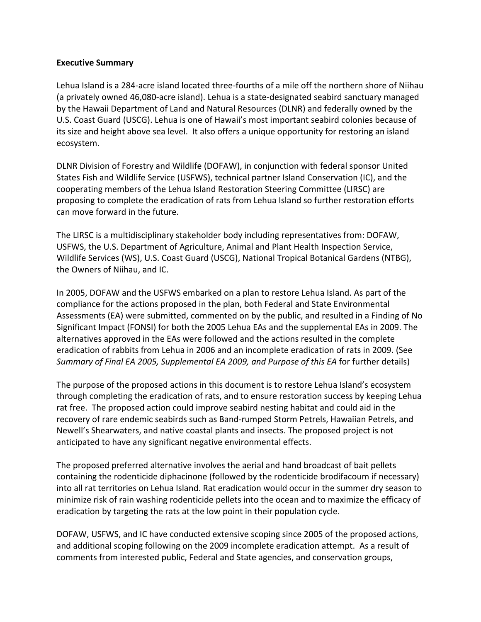## **Executive Summary**

Lehua Island is a 284-acre island located three-fourths of a mile off the northern shore of Niihau (a privately owned 46,080-acre island). Lehua is a state-designated seabird sanctuary managed by the Hawaii Department of Land and Natural Resources (DLNR) and federally owned by the U.S. Coast Guard (USCG). Lehua is one of Hawaii's most important seabird colonies because of its size and height above sea level. It also offers a unique opportunity for restoring an island ecosystem.

DLNR Division of Forestry and Wildlife (DOFAW), in conjunction with federal sponsor United States Fish and Wildlife Service (USFWS), technical partner Island Conservation (IC), and the cooperating members of the Lehua Island Restoration Steering Committee (LIRSC) are proposing to complete the eradication of rats from Lehua Island so further restoration efforts can move forward in the future.

The LIRSC is a multidisciplinary stakeholder body including representatives from: DOFAW, USFWS, the U.S. Department of Agriculture, Animal and Plant Health Inspection Service, Wildlife Services (WS), U.S. Coast Guard (USCG), National Tropical Botanical Gardens (NTBG), the Owners of Niihau, and IC.

In 2005, DOFAW and the USFWS embarked on a plan to restore Lehua Island. As part of the compliance for the actions proposed in the plan, both Federal and State Environmental Assessments (EA) were submitted, commented on by the public, and resulted in a Finding of No Significant Impact (FONSI) for both the 2005 Lehua EAs and the supplemental EAs in 2009. The alternatives approved in the EAs were followed and the actions resulted in the complete eradication of rabbits from Lehua in 2006 and an incomplete eradication of rats in 2009. (See *Summary of Final EA 2005, Supplemental EA 2009, and Purpose of this EA* for further details)

The purpose of the proposed actions in this document is to restore Lehua Island's ecosystem through completing the eradication of rats, and to ensure restoration success by keeping Lehua rat free. The proposed action could improve seabird nesting habitat and could aid in the recovery of rare endemic seabirds such as Band-rumped Storm Petrels, Hawaiian Petrels, and Newell's Shearwaters, and native coastal plants and insects. The proposed project is not anticipated to have any significant negative environmental effects.

The proposed preferred alternative involves the aerial and hand broadcast of bait pellets containing the rodenticide diphacinone (followed by the rodenticide brodifacoum if necessary) into all rat territories on Lehua Island. Rat eradication would occur in the summer dry season to minimize risk of rain washing rodenticide pellets into the ocean and to maximize the efficacy of eradication by targeting the rats at the low point in their population cycle.

DOFAW, USFWS, and IC have conducted extensive scoping since 2005 of the proposed actions, and additional scoping following on the 2009 incomplete eradication attempt. As a result of comments from interested public, Federal and State agencies, and conservation groups,